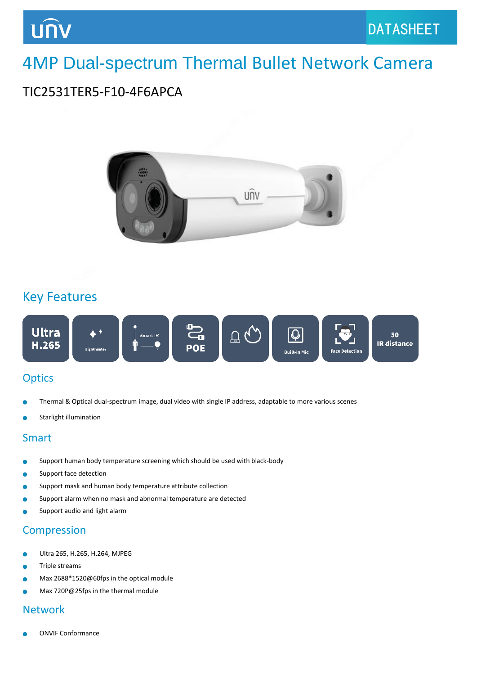## 4MP Dual-spectrum Thermal Bullet Network Camera

## TIC2531TER5-F10-4F6APCA



### Key Features



#### **Optics**

- Thermal & Optical dual-spectrum image, dual video with single IP address, adaptable to more various scenes
- Starlight illumination

#### Smart

- Support human body temperature screening which should be used with black-body
- Support face detection
- Support mask and human body temperature attribute collection
- Support alarm when no mask and abnormal temperature are detected
- Support audio and light alarm

#### Compression

- Ultra 265, H.265, H.264, MJPEG
- Triple streams
- Max 2688\*1520@60fps in the optical module
- Max 720P@25fps in the thermal module

#### Network

ONVIF Conformance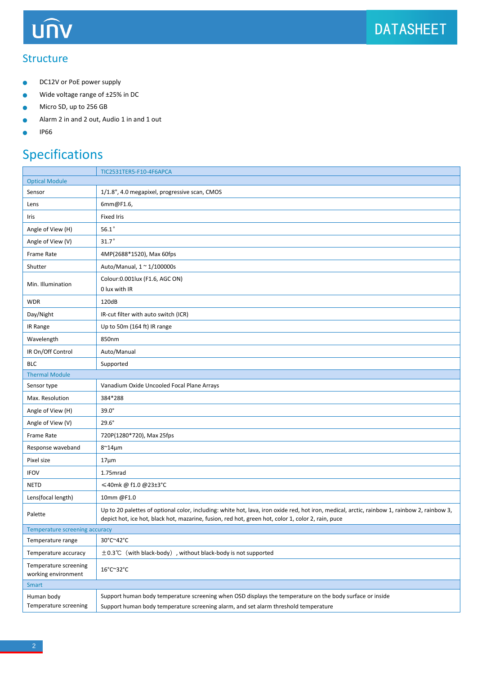## **UNV**

#### **Structure**

- DC12V or PoE power supply  $\bullet$
- Wide voltage range of ±25% in DC  $\bullet$
- Micro SD, up to 256 GB Ŏ
- Alarm 2 in and 2 out, Audio 1 in and 1 out  $\bullet$
- IP66  $\bullet$

## Specifications

|                                              | TIC2531TER5-F10-4F6APCA                                                                                                                                                                                                                            |  |
|----------------------------------------------|----------------------------------------------------------------------------------------------------------------------------------------------------------------------------------------------------------------------------------------------------|--|
| <b>Optical Module</b>                        |                                                                                                                                                                                                                                                    |  |
| Sensor                                       | 1/1.8", 4.0 megapixel, progressive scan, CMOS                                                                                                                                                                                                      |  |
| Lens                                         | 6mm@F1.6,                                                                                                                                                                                                                                          |  |
| Iris                                         | <b>Fixed Iris</b>                                                                                                                                                                                                                                  |  |
| Angle of View (H)                            | $56.1^\circ$                                                                                                                                                                                                                                       |  |
| Angle of View (V)                            | $31.7\degree$                                                                                                                                                                                                                                      |  |
| Frame Rate                                   | 4MP(2688*1520), Max 60fps                                                                                                                                                                                                                          |  |
| Shutter                                      | Auto/Manual, 1 ~ 1/100000s                                                                                                                                                                                                                         |  |
| Min. Illumination                            | Colour: 0.001 lux (F1.6, AGC ON)<br>0 lux with IR                                                                                                                                                                                                  |  |
| <b>WDR</b>                                   | 120dB                                                                                                                                                                                                                                              |  |
| Day/Night                                    | IR-cut filter with auto switch (ICR)                                                                                                                                                                                                               |  |
| IR Range                                     | Up to 50m (164 ft) IR range                                                                                                                                                                                                                        |  |
| Wavelength                                   | 850nm                                                                                                                                                                                                                                              |  |
| IR On/Off Control                            | Auto/Manual                                                                                                                                                                                                                                        |  |
| <b>BLC</b>                                   | Supported                                                                                                                                                                                                                                          |  |
| <b>Thermal Module</b>                        |                                                                                                                                                                                                                                                    |  |
| Sensor type                                  | Vanadium Oxide Uncooled Focal Plane Arrays                                                                                                                                                                                                         |  |
| Max. Resolution                              | 384*288                                                                                                                                                                                                                                            |  |
| Angle of View (H)                            | $39.0^\circ$                                                                                                                                                                                                                                       |  |
| Angle of View (V)                            | $29.6^\circ$                                                                                                                                                                                                                                       |  |
| Frame Rate                                   | 720P(1280*720), Max 25fps                                                                                                                                                                                                                          |  |
| Response waveband                            | $8^{\sim}14\mu$ m                                                                                                                                                                                                                                  |  |
| Pixel size                                   | $17 \mu m$                                                                                                                                                                                                                                         |  |
| <b>IFOV</b>                                  | 1.75mrad                                                                                                                                                                                                                                           |  |
| <b>NETD</b>                                  | $\leq 40$ mk @ f1.0 @23±3°C                                                                                                                                                                                                                        |  |
| Lens(focal length)                           | 10mm @F1.0                                                                                                                                                                                                                                         |  |
| Palette                                      | Up to 20 palettes of optional color, including: white hot, lava, iron oxide red, hot iron, medical, arctic, rainbow 1, rainbow 2, rainbow 3,<br>depict hot, ice hot, black hot, mazarine, fusion, red hot, green hot, color 1, color 2, rain, puce |  |
| Temperature screening accuracy               |                                                                                                                                                                                                                                                    |  |
| Temperature range                            | 30°C~42°C                                                                                                                                                                                                                                          |  |
| Temperature accuracy                         | $\pm$ 0.3°C (with black-body), without black-body is not supported                                                                                                                                                                                 |  |
| Temperature screening<br>working environment | 16°C~32°C                                                                                                                                                                                                                                          |  |
| <b>Smart</b>                                 |                                                                                                                                                                                                                                                    |  |
| Human body<br>Temperature screening          | Support human body temperature screening when OSD displays the temperature on the body surface or inside<br>Support human body temperature screening alarm, and set alarm threshold temperature                                                    |  |
|                                              |                                                                                                                                                                                                                                                    |  |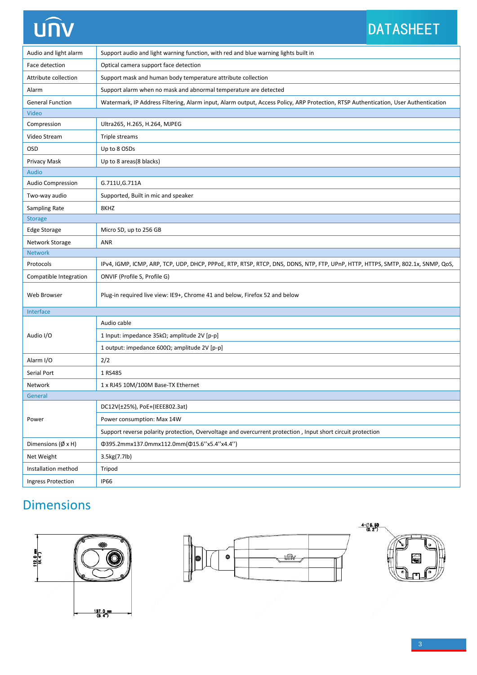# **UNV**

## DATASHEET

| Audio and light alarm     | Support audio and light warning function, with red and blue warning lights built in                                                 |
|---------------------------|-------------------------------------------------------------------------------------------------------------------------------------|
| Face detection            | Optical camera support face detection                                                                                               |
| Attribute collection      | Support mask and human body temperature attribute collection                                                                        |
| Alarm                     | Support alarm when no mask and abnormal temperature are detected                                                                    |
| <b>General Function</b>   | Watermark, IP Address Filtering, Alarm input, Alarm output, Access Policy, ARP Protection, RTSP Authentication, User Authentication |
| Video                     |                                                                                                                                     |
| Compression               | Ultra265, H.265, H.264, MJPEG                                                                                                       |
| Video Stream              | Triple streams                                                                                                                      |
| OSD                       | Up to 8 OSDs                                                                                                                        |
| Privacy Mask              | Up to 8 areas(8 blacks)                                                                                                             |
| Audio                     |                                                                                                                                     |
| Audio Compression         | G.711U, G.711A                                                                                                                      |
| Two-way audio             | Supported, Built in mic and speaker                                                                                                 |
| <b>Sampling Rate</b>      | 8KHZ                                                                                                                                |
| <b>Storage</b>            |                                                                                                                                     |
| <b>Edge Storage</b>       | Micro SD, up to 256 GB                                                                                                              |
| Network Storage           | ANR                                                                                                                                 |
| <b>Network</b>            |                                                                                                                                     |
| Protocols                 | IPv4, IGMP, ICMP, ARP, TCP, UDP, DHCP, PPPoE, RTP, RTSP, RTCP, DNS, DDNS, NTP, FTP, UPnP, HTTP, HTTPS, SMTP, 802.1x, SNMP, QoS,     |
| Compatible Integration    | ONVIF (Profile S, Profile G)                                                                                                        |
| Web Browser               | Plug-in required live view: IE9+, Chrome 41 and below, Firefox 52 and below                                                         |
| Interface                 |                                                                                                                                     |
| Audio I/O                 | Audio cable                                                                                                                         |
|                           | 1 Input: impedance 35kΩ; amplitude 2V [p-p]                                                                                         |
|                           | 1 output: impedance 600 $\Omega$ ; amplitude 2V [p-p]                                                                               |
| Alarm I/O                 | 2/2                                                                                                                                 |
| Serial Port               | 1 RS485                                                                                                                             |
| Network                   | 1 x RJ45 10M/100M Base-TX Ethernet                                                                                                  |
| General                   |                                                                                                                                     |
|                           | DC12V(±25%), PoE+(IEEE802.3at)                                                                                                      |
| Power                     | Power consumption: Max 14W                                                                                                          |
|                           | Support reverse polarity protection, Overvoltage and overcurrent protection, Input short circuit protection                         |
| Dimensions (Ø x H)        | Φ395.2mmx137.0mmx112.0mm(Φ15.6"x5.4"x4.4")                                                                                          |
| Net Weight                | 3.5kg(7.7lb)                                                                                                                        |
| Installation method       | Tripod                                                                                                                              |
| <b>Ingress Protection</b> | <b>IP66</b>                                                                                                                         |

## **Dimensions**





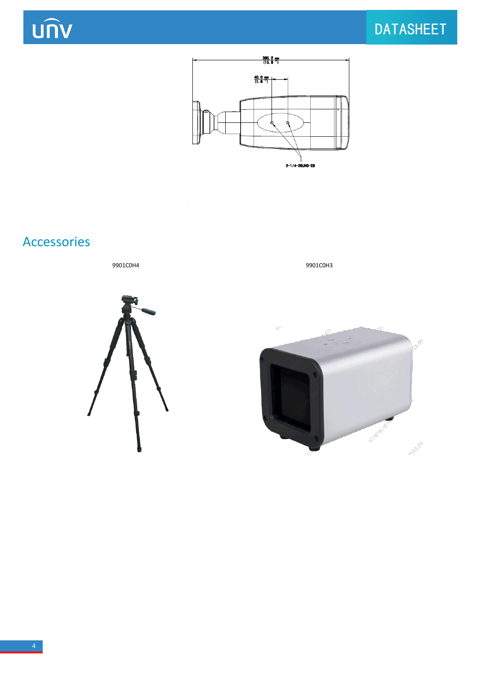**UNV** 

## DATASHEET



## Accessories